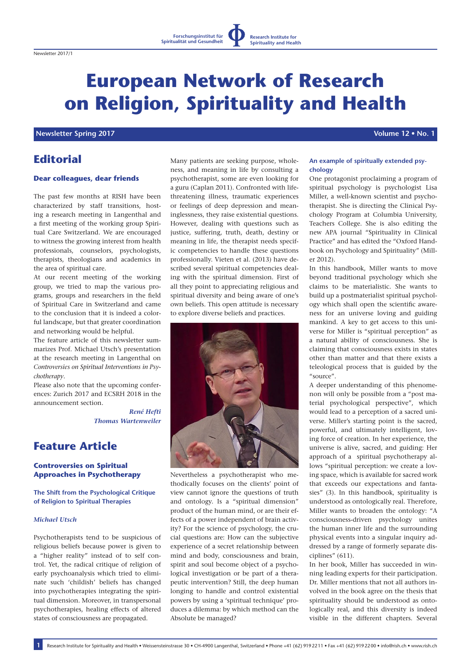# **European Network of Research on Religion, Spirituality and Health**

# **Newsletter Spring 2017 Volume 12 • No. 1**

# **Editorial**

## **Dear colleagues, dear friends**

The past few months at RISH have been characterized by staff transitions, hosting a research meeting in Langenthal and a first meeting of the working group Spiritual Care Switzerland. We are encouraged to witness the growing interest from health professionals, counselors, psychologists, therapists, theologians and academics in the area of spiritual care.

At our recent meeting of the working group, we tried to map the various programs, groups and researchers in the field of Spiritual Care in Switzerland and came to the conclusion that it is indeed a colorful landscape, but that greater coordination and networking would be helpful.

The feature article of this newsletter summarizes Prof. Michael Utsch's presentation at the research meeting in Langenthal on *Controversies on Spiritual Interventions in Psychotherapy*.

Please also note that the upcoming conferences: Zurich 2017 and ECSRH 2018 in the announcement section.

> *René Hefti Thomas Wartenweiler*

# **Feature Article**

## **Controversies on Spiritual Approaches in Psychotherapy**

**The Shift from the Psychological Critique of Religion to Spiritual Therapies**

# *Michael Utsch*

Psychotherapists tend to be suspicious of religious beliefs because power is given to a "higher reality" instead of to self control. Yet, the radical critique of religion of early psychoanalysis which tried to eliminate such 'childish' beliefs has changed into psychotherapies integrating the spiritual dimension. Moreover, in transpersonal psychotherapies, healing effects of altered states of consciousness are propagated.

Many patients are seeking purpose, wholeness, and meaning in life by consulting a psychotherapist, some are even looking for a guru (Caplan 2011). Confronted with lifethreatening illness, traumatic experiences or feelings of deep depression and meaninglessness, they raise existential questions. However, dealing with questions such as justice, suffering, truth, death, destiny or meaning in life, the therapist needs specific competencies to handle these questions professionally. Vieten et al. (2013) have described several spiritual competencies dealing with the spiritual dimension. First of all they point to appreciating religious and spiritual diversity and being aware of one's own beliefs. This open attitude is necessary to explore diverse beliefs and practices.



Nevertheless a psychotherapist who methodically focuses on the clients' point of view cannot ignore the questions of truth and ontology. Is a "spiritual dimension" product of the human mind, or are their effects of a power independent of brain activity? For the science of psychology, the crucial questions are: How can the subjective experience of a secret relationship between mind and body, consciousness and brain, spirit and soul become object of a psychological investigation or be part of a therapeutic intervention? Still, the deep human longing to handle and control existential powers by using a 'spiritual technique' produces a dilemma: by which method can the Absolute be managed?

#### **An example of spiritually extended psychology**

One protagonist proclaiming a program of spiritual psychology is psychologist Lisa Miller, a well-known scientist and psychotherapist. She is directing the Clinical Psychology Program at Columbia University, Teachers College. She is also editing the new APA journal "Spirituality in Clinical Practice" and has edited the "Oxford Handbook on Psychology and Spirituality" (Miller 2012).

In this handbook, Miller wants to move beyond traditional psychology which she claims to be materialistic. She wants to build up a postmaterialist spiritual psychology which shall open the scientific awareness for an universe loving and guiding mankind. A key to get access to this universe for Miller is "spiritual perception" as a natural ability of consciousness. She is claiming that consciousness exists in states other than matter and that there exists a teleological process that is guided by the  $^{\prime\prime}$ source".

A deeper understanding of this phenomenon will only be possible from a "post material psychological perspective", which would lead to a perception of a sacred universe. Miller's starting point is the sacred, powerful, and ultimately intelligent, loving force of creation. In her experience, the universe is alive, sacred, and guiding: Her approach of a spiritual psychotherapy allows "spiritual perception: we create a loving space, which is available for sacred work that exceeds our expectations and fantasies" (3). In this handbook, spirituality is understood as ontologically real. Therefore, Miller wants to broaden the ontology: "A consciousness-driven psychology unites the human inner life and the surrounding physical events into a singular inquiry addressed by a range of formerly separate disciplines" (611).

In her book, Miller has succeeded in winning leading experts for their participation. Dr. Miller mentions that not all authors involved in the book agree on the thesis that spirituality should be understood as ontologically real, and this diversity is indeed visible in the different chapters. Several